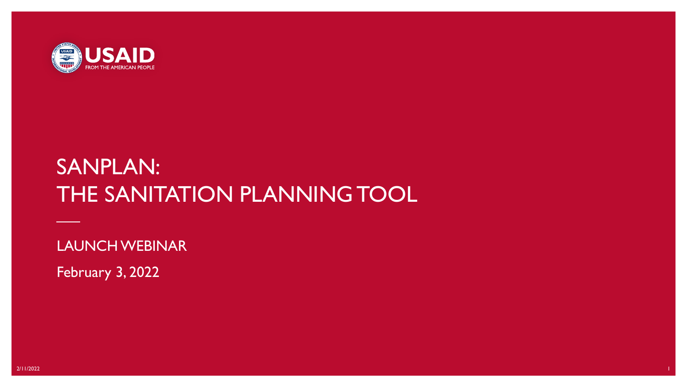

# SANPLAN: THE SANITATION PLANNING TOOL

LAUNCH WEBINAR

February 3, 2022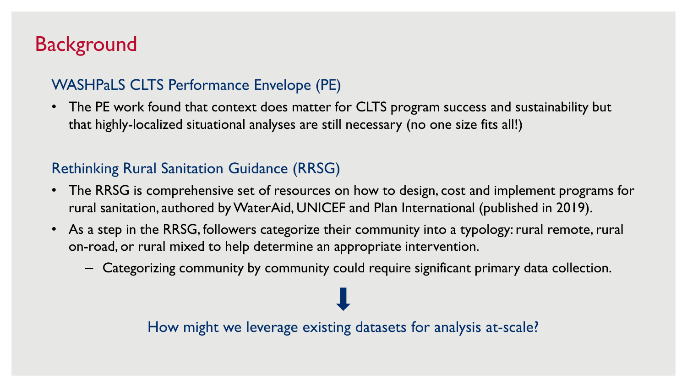## **Background**

#### WASHPaLS CLTS Performance Envelope (PE)

• The PE work found that context does matter for CLTS program success and sustainability but that highly-localized situational analyses are still necessary (no one size fits all!)

#### Rethinking Rural Sanitation Guidance (RRSG)

- The RRSG is comprehensive set of resources on how to design, cost and implement programs for rural sanitation, authored by WaterAid, UNICEF and Plan International (published in 2019).
- As a step in the RRSG, followers categorize their community into a typology: rural remote, rural on-road, or rural mixed to help determine an appropriate intervention.
	- Categorizing community by community could require significant primary data collection.

How might we leverage existing datasets for analysis at-scale?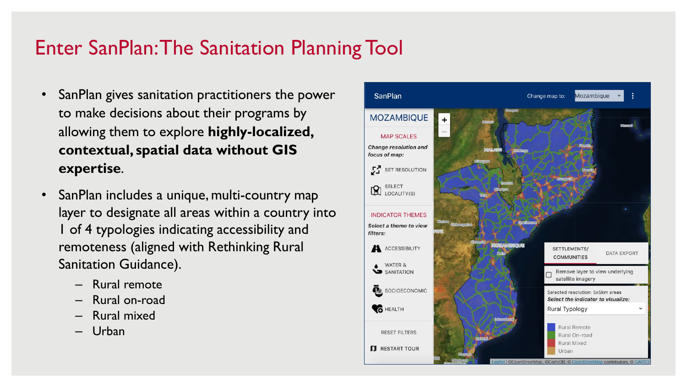## Enter SanPlan: The Sanitation Planning Tool

- SanPlan gives sanitation practitioners the power to make decisions about their programs by allowing them to explore **highly-localized, contextual, spatial data without GIS expertise**.
- SanPlan includes a unique, multi-country map layer to designate all areas within a country into 1 of 4 typologies indicating accessibility and remoteness (aligned with Rethinking Rural Sanitation Guidance).
	- Rural remote
	- Rural on-road
	- Rural mixed
	- Urban

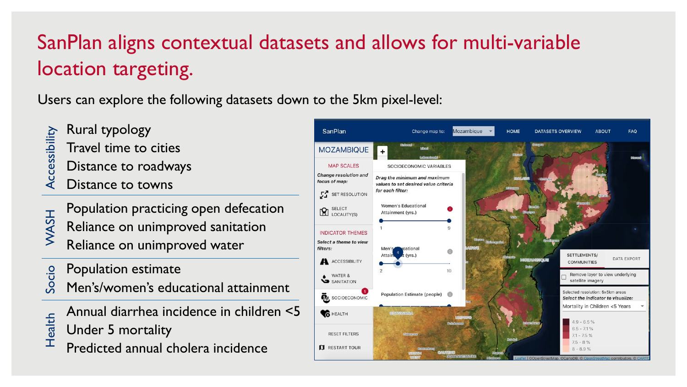# SanPlan aligns contextual datasets and allows for multi-variable location targeting.

Users can explore the following datasets down to the 5km pixel-level:

- Rural typology
- Accessibility Accessibility Travel time to cities
- Distance to roadways
- Distance to towns
- Population practicing open defecation Reliance on unimproved sanitation Reliance on unimproved water WASH
- Population estimate Socio
- Men's/women's educational attainment
- Annual diarrhea incidence in children <5 Under 5 mortality Health
	- Predicted annual cholera incidence

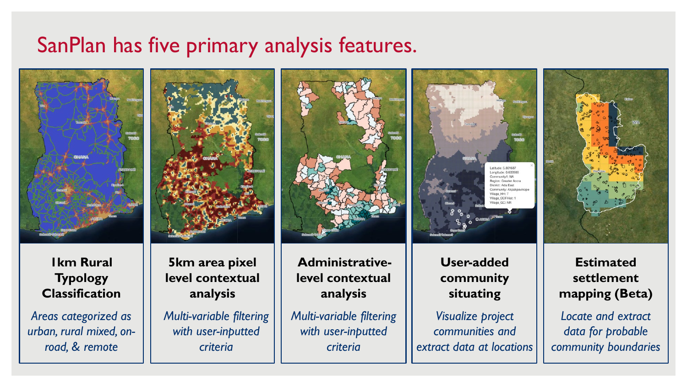## SanPlan has five primary analysis features.



**1km Rural Typology Classification** 

*Areas categorized as urban, rural mixed, onroad, & remote*



**5km area pixel level contextual analysis** 

*Multi-variable filtering with user-inputted criteria*

**Administrativelevel contextual analysis**

*Multi-variable filtering with user-inputted criteria*



**User-added community situating** 

*Visualize project communities and extract data at locations*



**Estimated settlement mapping (Beta)**

*Locate and extract data for probable community boundaries*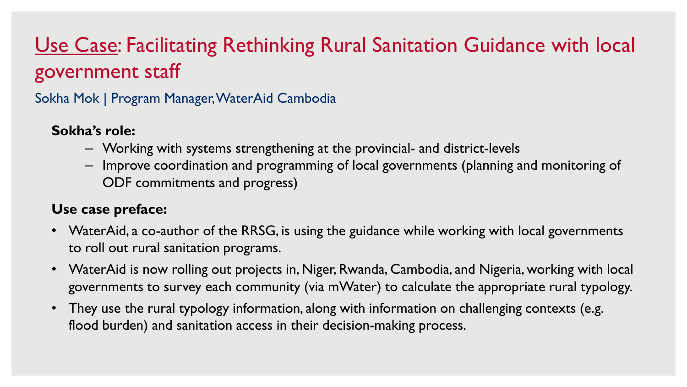## Use Case: Facilitating Rethinking Rural Sanitation Guidance with local government staff

Sokha Mok | Program Manager,WaterAid Cambodia

#### **Sokha's role:**

- Working with systems strengthening at the provincial- and district-levels
- Improve coordination and programming of local governments (planning and monitoring of ODF commitments and progress)

#### **Use case preface:**

- WaterAid, a co-author of the RRSG, is using the guidance while working with local governments to roll out rural sanitation programs.
- WaterAid is now rolling out projects in, Niger, Rwanda, Cambodia, and Nigeria, working with local governments to survey each community (via mWater) to calculate the appropriate rural typology.
- They use the rural typology information, along with information on challenging contexts (e.g. flood burden) and sanitation access in their decision-making process.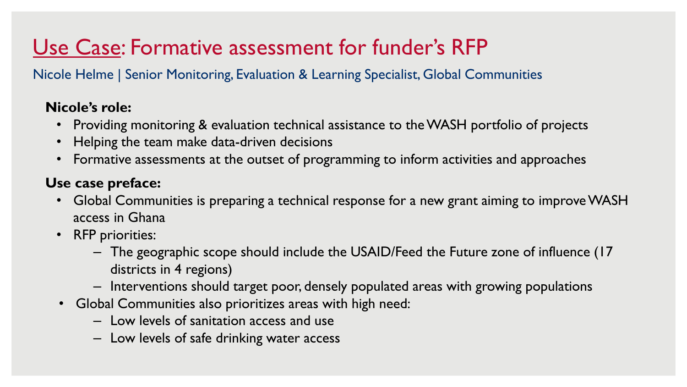# Use Case: Formative assessment for funder's RFP

Nicole Helme | Senior Monitoring, Evaluation & Learning Specialist, Global Communities

#### **Nicole's role:**

- Providing monitoring & evaluation technical assistance to the WASH portfolio of projects
- Helping the team make data-driven decisions
- Formative assessments at the outset of programming to inform activities and approaches

#### **Use case preface:**

- Global Communities is preparing a technical response for a new grant aiming to improve WASH access in Ghana
- RFP priorities:
	- The geographic scope should include the USAID/Feed the Future zone of influence (17 districts in 4 regions)
	- Interventions should target poor, densely populated areas with growing populations
- Global Communities also prioritizes areas with high need:
	- Low levels of sanitation access and use
	- Low levels of safe drinking water access